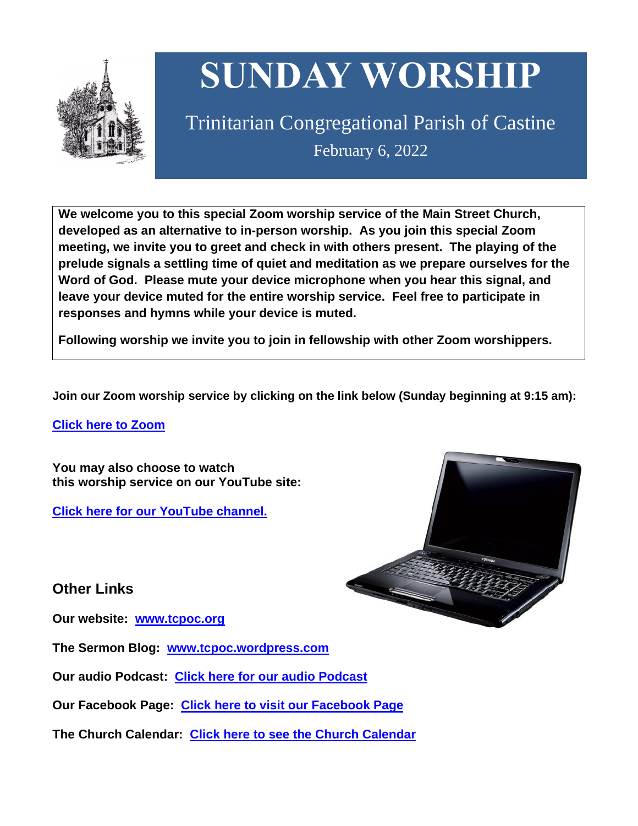

# **SUNDAY WORSHIP**

Trinitarian Congregational Parish of Castine February 6, 2022

**We welcome you to this special Zoom worship service of the Main Street Church, developed as an alternative to in-person worship. As you join this special Zoom meeting, we invite you to greet and check in with others present. The playing of the prelude signals a settling time of quiet and meditation as we prepare ourselves for the Word of God. Please mute your device microphone when you hear this signal, and leave your device muted for the entire worship service. Feel free to participate in responses and hymns while your device is muted.**

**Following worship we invite you to join in fellowship with other Zoom worshippers.**

**Join our Zoom worship service by clicking on the link below (Sunday beginning at 9:15 am):**

**Click here to [Zoom](https://us02web.zoom.us/j/89573448511?pwd=MFRuSFBJR2NWL015RzlyZ1UycmROQT09)**

**You may also choose to watch this worship service on our YouTube site:**

**Click here for our [YouTube](https://www.youtube.com/channel/UC4Bu-O6pN-bdPOqVNg0fBxA) channel.**



**Other Links**

**Our website: [www.tcpoc.org](http://www.tcpoc.org/)**

**The Sermon Blog: [www.tcpoc.wordpress.com](http://www.tcpoc.wordpress.com/)**

**Our audio Podcast: Click here for our audio [Podcast](https://podpoint.com/trinitarian-congregational-parish-of-castine-podcast)**

**Our Facebook Page: Click here to visit our [Facebook](https://www.facebook.com/tcpoc) Page**

**The Church Calendar: Click here to see the Church [Calendar](http://www.tcpoc.org/calendar.html)**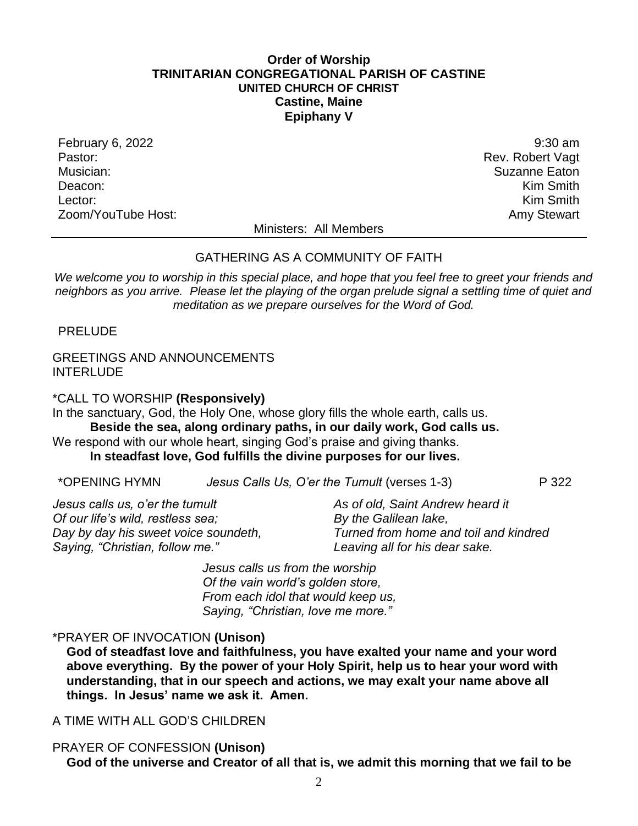#### **Order of Worship TRINITARIAN CONGREGATIONAL PARISH OF CASTINE UNITED CHURCH OF CHRIST Castine, Maine Epiphany V**

February 6, 2022 9:30 am Pastor: Rev. Robert Vagt Musician: Suzanne Eaton Deacon: **Kim Smith** Lector: **Kim Smith** Zoom/YouTube Host: Amy Stewart New York 2008 and 2009 and 2009 and 2009 and 2009 and 2009 and 2009 and 2009 and 2009 and 2009 and 2009 and 2009 and 2009 and 2009 and 2009 and 2009 and 2009 and 2009 and 2009 and 2009 and 20

Ministers: All Members

#### GATHERING AS A COMMUNITY OF FAITH

*We welcome you to worship in this special place, and hope that you feel free to greet your friends and neighbors as you arrive. Please let the playing of the organ prelude signal a settling time of quiet and meditation as we prepare ourselves for the Word of God.*

PRELUDE

#### GREETINGS AND ANNOUNCEMENTS INTERLUDE

\*CALL TO WORSHIP **(Responsively)**

In the sanctuary, God, the Holy One, whose glory fills the whole earth, calls us. **Beside the sea, along ordinary paths, in our daily work, God calls us.**

We respond with our whole heart, singing God's praise and giving thanks.

#### **In steadfast love, God fulfills the divine purposes for our lives.**

| *OPENING HYMN |  | Jesus Calls Us, O'er the Tumult (verses 1-3) | P 322 |
|---------------|--|----------------------------------------------|-------|
|---------------|--|----------------------------------------------|-------|

*Jesus calls us, o'er the tumult Of our life's wild, restless sea; Day by day his sweet voice soundeth, Saying, "Christian, follow me."*

*As of old, Saint Andrew heard it By the Galilean lake, Turned from home and toil and kindred Leaving all for his dear sake.*

*Jesus calls us from the worship Of the vain world's golden store, From each idol that would keep us, Saying, "Christian, love me more."*

#### \*PRAYER OF INVOCATION **(Unison)**

**God of steadfast love and faithfulness, you have exalted your name and your word above everything. By the power of your Holy Spirit, help us to hear your word with understanding, that in our speech and actions, we may exalt your name above all things. In Jesus' name we ask it. Amen.**

#### A TIME WITH ALL GOD'S CHILDREN

#### PRAYER OF CONFESSION **(Unison)**

**God of the universe and Creator of all that is, we admit this morning that we fail to be**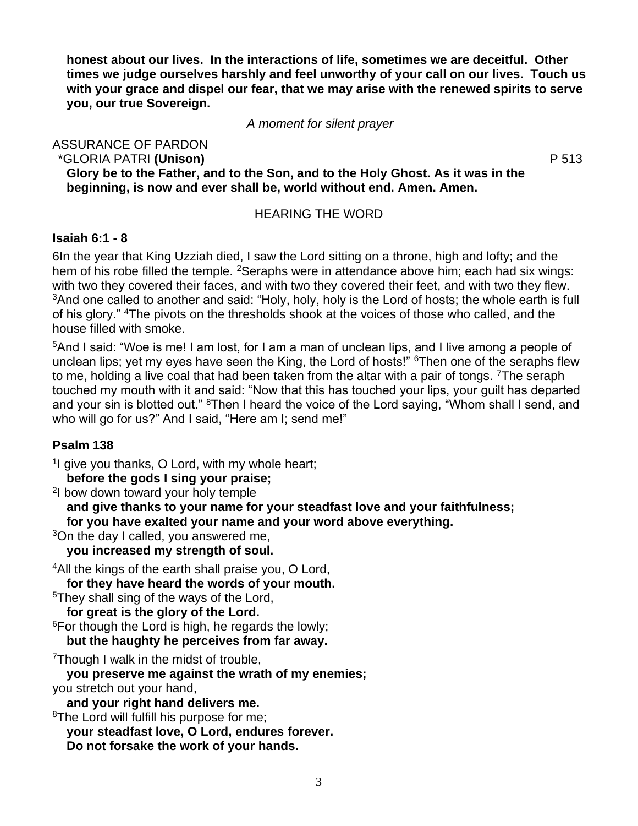**honest about our lives. In the interactions of life, sometimes we are deceitful. Other times we judge ourselves harshly and feel unworthy of your call on our lives. Touch us with your grace and dispel our fear, that we may arise with the renewed spirits to serve you, our true Sovereign.**

*A moment for silent prayer*

ASSURANCE OF PARDON \*GLORIA PATRI **(Unison)** P 513 **Glory be to the Father, and to the Son, and to the Holy Ghost. As it was in the beginning, is now and ever shall be, world without end. Amen. Amen.**

HEARING THE WORD

#### **Isaiah 6:1 - 8**

6In the year that King Uzziah died, I saw the Lord sitting on a throne, high and lofty; and the hem of his robe filled the temple. <sup>2</sup>Seraphs were in attendance above him; each had six wings: with two they covered their faces, and with two they covered their feet, and with two they flew. <sup>3</sup>And one called to another and said: "Holy, holy, holy is the Lord of hosts; the whole earth is full of his glory." <sup>4</sup>The pivots on the thresholds shook at the voices of those who called, and the house filled with smoke.

<sup>5</sup>And I said: "Woe is me! I am lost, for I am a man of unclean lips, and I live among a people of unclean lips; yet my eyes have seen the King, the Lord of hosts!" <sup>6</sup>Then one of the seraphs flew to me, holding a live coal that had been taken from the altar with a pair of tongs. <sup>7</sup>The seraph touched my mouth with it and said: "Now that this has touched your lips, your guilt has departed and your sin is blotted out." <sup>8</sup>Then I heard the voice of the Lord saying, "Whom shall I send, and who will go for us?" And I said, "Here am I; send me!"

#### **Psalm 138**

<sup>1</sup>l give you thanks, O Lord, with my whole heart; **before the gods I sing your praise;** 

2 I bow down toward your holy temple

**and give thanks to your name for your steadfast love and your faithfulness; for you have exalted your name and your word above everything.** 

<sup>3</sup>On the day I called, you answered me, **you increased my strength of soul.** 

<sup>4</sup>All the kings of the earth shall praise you, O Lord, **for they have heard the words of your mouth.** 

<sup>5</sup>They shall sing of the ways of the Lord,

**for great is the glory of the Lord.** 

 $6$ For though the Lord is high, he regards the lowly;

**but the haughty he perceives from far away.** 

<sup>7</sup>Though I walk in the midst of trouble,

**you preserve me against the wrath of my enemies;**  you stretch out your hand,

**and your right hand delivers me.** 

<sup>8</sup>The Lord will fulfill his purpose for me;

**your steadfast love, O Lord, endures forever.** 

**Do not forsake the work of your hands.**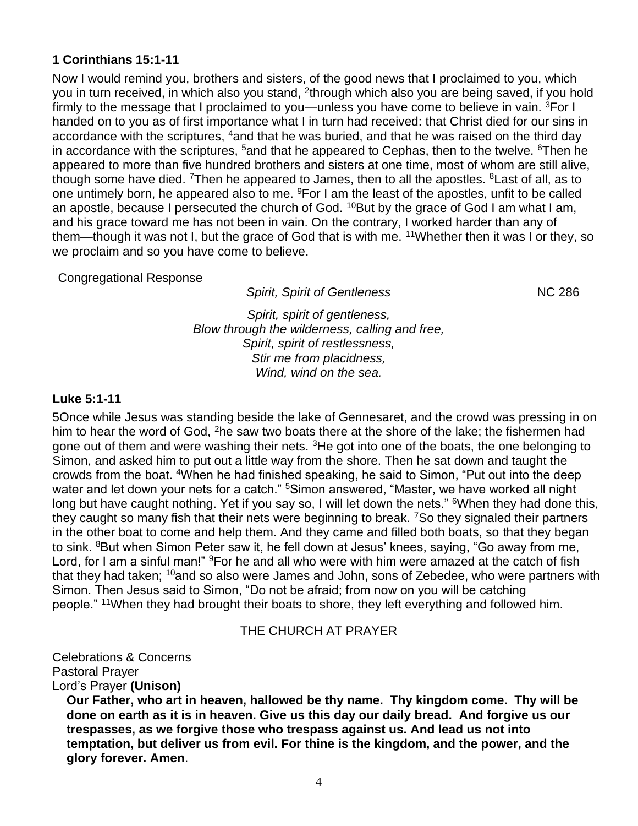#### **1 Corinthians 15:1-11**

Now I would remind you, brothers and sisters, of the good news that I proclaimed to you, which you in turn received, in which also you stand, <sup>2</sup>through which also you are being saved, if you hold firmly to the message that I proclaimed to you—unless you have come to believe in vain. <sup>3</sup>For I handed on to you as of first importance what I in turn had received: that Christ died for our sins in accordance with the scriptures, <sup>4</sup>and that he was buried, and that he was raised on the third day in accordance with the scriptures,  $5$  and that he appeared to Cephas, then to the twelve.  $6$ Then he appeared to more than five hundred brothers and sisters at one time, most of whom are still alive, though some have died. <sup>7</sup>Then he appeared to James, then to all the apostles. <sup>8</sup>Last of all, as to one untimely born, he appeared also to me. <sup>9</sup>For I am the least of the apostles, unfit to be called an apostle, because I persecuted the church of God. <sup>10</sup>But by the grace of God I am what I am, and his grace toward me has not been in vain. On the contrary, I worked harder than any of them—though it was not I, but the grace of God that is with me. <sup>11</sup>Whether then it was I or they, so we proclaim and so you have come to believe.

#### Congregational Response

**Spirit, Spirit of Gentleness** NC 286

*Spirit, spirit of gentleness, Blow through the wilderness, calling and free, Spirit, spirit of restlessness, Stir me from placidness, Wind, wind on the sea.*

#### **Luke 5:1-11**

5Once while Jesus was standing beside the lake of Gennesaret, and the crowd was pressing in on him to hear the word of God, <sup>2</sup>he saw two boats there at the shore of the lake; the fishermen had gone out of them and were washing their nets. <sup>3</sup>He got into one of the boats, the one belonging to Simon, and asked him to put out a little way from the shore. Then he sat down and taught the crowds from the boat. <sup>4</sup>When he had finished speaking, he said to Simon, "Put out into the deep water and let down your nets for a catch." <sup>5</sup>Simon answered, "Master, we have worked all night long but have caught nothing. Yet if you say so, I will let down the nets." <sup>6</sup>When they had done this, they caught so many fish that their nets were beginning to break. <sup>7</sup>So they signaled their partners in the other boat to come and help them. And they came and filled both boats, so that they began to sink. <sup>8</sup>But when Simon Peter saw it, he fell down at Jesus' knees, saying, "Go away from me, Lord, for I am a sinful man!" <sup>9</sup>For he and all who were with him were amazed at the catch of fish that they had taken; <sup>10</sup>and so also were James and John, sons of Zebedee, who were partners with Simon. Then Jesus said to Simon, "Do not be afraid; from now on you will be catching people." <sup>11</sup>When they had brought their boats to shore, they left everything and followed him.

THE CHURCH AT PRAYER

Celebrations & Concerns Pastoral Prayer

#### Lord's Prayer **(Unison)**

**Our Father, who art in heaven, hallowed be thy name. Thy kingdom come. Thy will be done on earth as it is in heaven. Give us this day our daily bread. And forgive us our trespasses, as we forgive those who trespass against us. And lead us not into temptation, but deliver us from evil. For thine is the kingdom, and the power, and the glory forever. Amen**.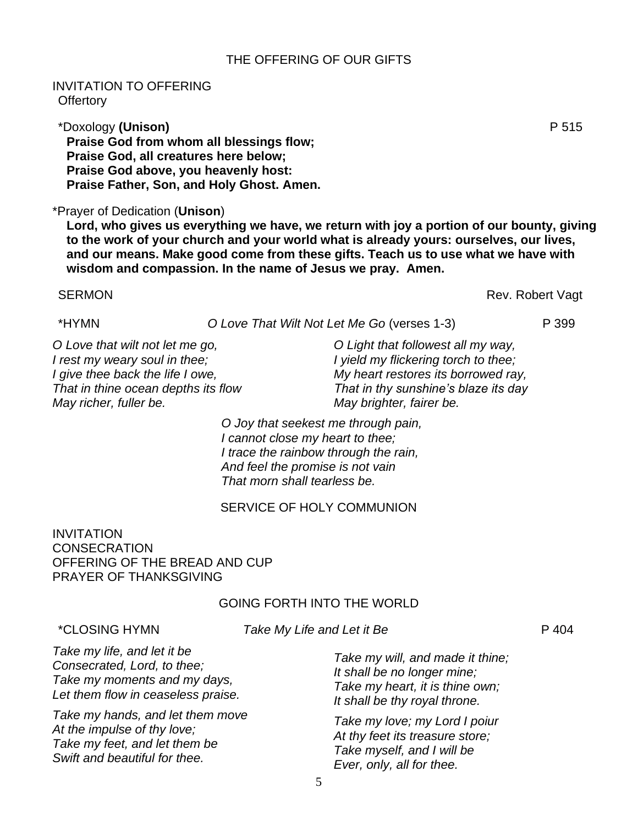#### THE OFFERING OF OUR GIFTS

#### INVITATION TO OFFERING **Offertory**

\*Doxology **(Unison)** P 515 **Praise God from whom all blessings flow; Praise God, all creatures here below; Praise God above, you heavenly host: Praise Father, Son, and Holy Ghost. Amen.**

#### \*Prayer of Dedication (**Unison**)

**Lord, who gives us everything we have, we return with joy a portion of our bounty, giving to the work of your church and your world what is already yours: ourselves, our lives, and our means. Make good come from these gifts. Teach us to use what we have with wisdom and compassion. In the name of Jesus we pray. Amen.**

#### SERMON Rev. Robert Vagt

## \*HYMN *O Love That Wilt Not Let Me Go* (verses 1-3) P 399

*O Love that wilt not let me go, I rest my weary soul in thee; I give thee back the life I owe, That in thine ocean depths its flow May richer, fuller be.*

*O Light that followest all my way, I yield my flickering torch to thee; My heart restores its borrowed ray, That in thy sunshine's blaze its day May brighter, fairer be.*

*O Joy that seekest me through pain, I cannot close my heart to thee; I trace the rainbow through the rain, And feel the promise is not vain That morn shall tearless be.*

### SERVICE OF HOLY COMMUNION

INVITATION **CONSECRATION** OFFERING OF THE BREAD AND CUP PRAYER OF THANKSGIVING

#### GOING FORTH INTO THE WORLD

\*CLOSING HYMN *Take My Life and Let it Be* P 404

*Take my life, and let it be Consecrated, Lord, to thee; Take my moments and my days, Let them flow in ceaseless praise.*

*Take my hands, and let them move At the impulse of thy love; Take my feet, and let them be Swift and beautiful for thee.*

*Take my will, and made it thine; It shall be no longer mine; Take my heart, it is thine own; It shall be thy royal throne.*

*Take my love; my Lord I poiur At thy feet its treasure store; Take myself, and I will be Ever, only, all for thee.*